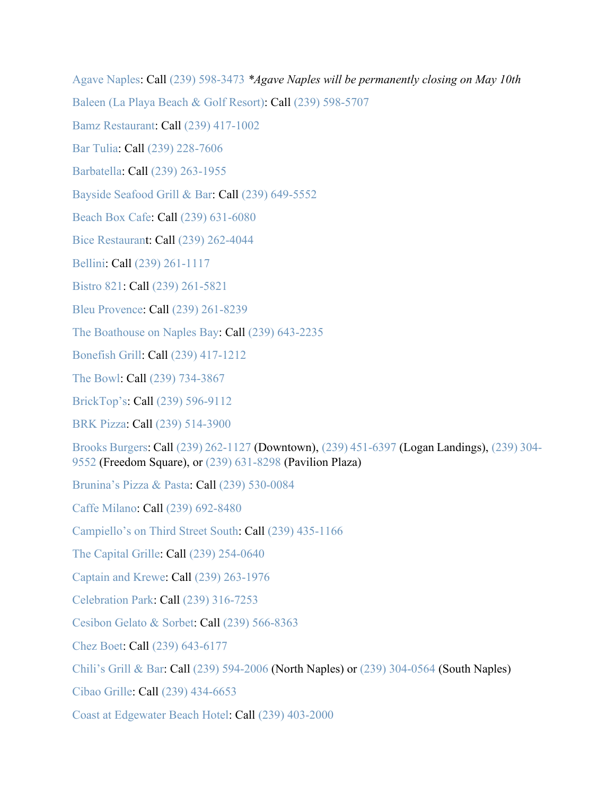[Agave Naples:](https://www.agavenaples.com/takeout) Call [\(239\) 598-3473](https://www.google.com/search?q=agave+naples&rlz=1C1GGGE_enUS570US571&oq=agave&aqs=chrome.1.69i57j69i59j69i60l3.1730j0j9&sourceid=chrome&ie=UTF-8) *\*Agave Naples will be permanently closing on May 10th*

[Baleen \(La Playa Beach & Golf Resort\):](https://www.laplayaresort.com/naples-baleen-restaurant/) Call [\(239\) 598-5707](https://www.google.com/search?q=baleen&rlz=1C1GGGE_enUS570US571&oq=baleen&aqs=chrome..69i57.1295j0j9&sourceid=chrome&ie=UTF-8)

[Bamz Restaurant:](https://www.facebook.com/Bamz-Restaurant-2602824969792598/?tn-str=k*F) Call [\(239\) 417-1002](https://www.google.com/search?q=bamz+restaurant&rlz=1C1GGGE_enUS570US571&oq=bamz+&aqs=chrome.1.69i57j69i59j69i60l2.1680j0j9&sourceid=chrome&ie=UTF-8)

[Bar Tulia:](https://bartulia.com/) Call [\(239\) 228-7606](https://www.google.com/search?q=bar+tulia+happy+hour&rlz=1C1GGGE_enUS570US571&oq=bar+tulia+&aqs=chrome.0.69i59j69i57.1959j0j4&sourceid=chrome&ie=UTF-8)

[Barbatella:](https://barbatellanaples.com/) Call [\(239\) 263-1955](https://www.google.com/search?q=barbatella&oq=barbatella&aqs=chrome..69i57j0l7.2652j0j9&sourceid=chrome&ie=UTF-8)

[Bayside Seafood Grill & Bar:](https://www.baysideseafoodgrillandbar.com/) Call [\(239\) 649-5552](https://www.google.com/search?q=bayside+seafood+grill+and+bar&rlz=1C1GGGE_enUS570US571&oq=bayside+seafood+grill+and+bar&aqs=chrome..69i57.5816j0j7&sourceid=chrome&ie=UTF-8)

[Beach Box Cafe:](http://beachboxcafe.com/) Call [\(239\) 631-6080](https://www.google.com/search?q=beach+box&rlz=1C1GGGE_enUS570US571&oq=beach+box&aqs=chrome..69i57.1744j0j4&sourceid=chrome&ie=UTF-8)

[Bice Restaurant](http://www.bice-naples.com/): Call [\(239\) 262-4044](https://www.google.com/search?q=bice+restaurant&rlz=1C1GGGE_enUS570US571&oq=bice&aqs=chrome.0.69i59j69i57j69i60.861j0j9&sourceid=chrome&ie=UTF-8)

[Bellini:](https://www.bellinionfifth.com/) Call [\(239\) 261-1117](https://www.google.com/search?rlz=1C1GGGE_enUS570US571&sxsrf=ALeKk01UURdJhX0M6lrSP9bMdFOmbzFXZQ%3A1584469996075&ei=7BdxXrOSBKy1ggeCpKaYCA&q=bellini+restaurant&oq=bellini&gs_l=psy-ab.3.0.35i39j0i20i263j0l8.19566.24261..25072...0.3..0.120.782.4j4......0....1..gws-wiz.......0i71j35i304i39j0i13j0i13i10j0i67j0i273j0i10i67j0i10.BIwQlgPQ51Q)

[Bistro 821:](https://www.bistro821.com/) Call [\(239\) 261-5821](https://www.google.com/search?q=bistro821&rlz=1C1GGGE_enUS570US571&oq=b&aqs=chrome.1.69i57j69i59l3j69i60l4.3077j0j4&sourceid=chrome&ie=UTF-8)

[Bleu Provence:](https://www.bleuprovencenaples.com/) Call [\(239\) 261-8239](https://www.google.com/search?q=bleu+provence&rlz=1C1GGGE_enUS570US571&oq=bleu+provence&aqs=chrome..69i57.3565j0j7&sourceid=chrome&ie=UTF-8)

[The Boathouse on Naples Bay:](https://www.boathouseonnaplesbay.com/) Call [\(239\) 643-2235](https://www.google.com/search?q=the+boathouse+on+naples+bay&rlz=1C1GGGE_enUS570US571&oq=the+boathouse+on+naples+bay&aqs=chrome..69i57.19695j0j7&sourceid=chrome&ie=UTF-8)

[Bonefish Grill:](https://www.bonefishgrill.com/) Call [\(239\) 417-1212](https://www.google.com/search?rlz=1C1GGGE_enUS570US571&tbm=lcl&sxsrf=ALeKk013CUrWB5XLe4ukII9toJQNFXmL2Q%3A1585240174381&ei=bth8Xo7xFsGrytMPzuqK2Ac&q=bonefish+grill&oq=bo&gs_l=psy-ab.3.0.35i39k1l3j0l4j0i131k1j0l2.425076.426310.0.427465.4.3.1.0.0.0.156.398.0j3.3.0....0...1c.1.64.psy-ab..0.4.423...0i67k1j0i10i67k1.0.v0gEYf0vFiY)

[The Bowl:](https://www.the-bowl.com/) Call [\(239\) 734-3867](https://www.google.com/search?q=thebowl&rlz=1C1GGGE_enUS570US571&oq=thebowl&aqs=chrome..69i57.1125j0j7&sourceid=chrome&ie=UTF-8)

[BrickTop's:](https://bricktops.com/naples) Call [\(239\) 596-9112](https://www.google.com/search?ei=DpZ2XtieA8Wq_QbR8reQDQ&q=bricktops+naples&oq=bricktops+naples&gs_l=psy-ab.3..0l10.4616.5464..5560...0.2..0.115.588.6j1......0....1..gws-wiz.......0i71j0i273..26%3A81.6GFJERvYyxg&ved=0ahUKEwjY3Z_Zz6zoAhVFVd8KHVH5DdIQ4dUDCAs&uact=5)

[BRK Pizza:](https://www.brkpizzanaples.com/) Call [\(239\) 514-3900](https://www.google.com/search?q=brk+pizza&rlz=1C1GGGE_enUS570US571&oq=brk+pizza&aqs=chrome..69i57.1614j0j9&sourceid=chrome&ie=UTF-8)

[Brooks Burgers:](https://brooksburgers.com/) Call [\(239\) 262-1127](https://www.google.com/search?q=brooks%20burgers&oq=brooks+burgers&aqs=chrome.0.69i59j0l5.1633j0j4&sourceid=chrome&ie=UTF-8&npsic=0&rflfq=1&rlha=0&rllag=26207135,-81762107,8239&tbm=lcl&rldimm=7035871120899705470&lqi=Cg5icm9va3MgYnVyZ2VycyIDiAEBSKqp2fSKq4CACFooCg5icm9va3MgYnVyZ2VycxAAEAEYABgBIg5icm9va3MgYnVyZ2Vycw&ved=2ahUKEwjF_s-UhKzoAhWiTN8KHRbXBjMQvS4wAXoECAsQFg&rldoc=1&tbs=lrf:!1m4!1u3!2m2!3m1!1e1!1m4!1u15!2m2!15m1!1shas_1takeout!1m5!1u15!2m2!15m1!1shas_1wheelchair_1accessible_1entrance!4e2!2m1!1e3!3sIAE,lf:1,lf_ui:4&rlst=f#rlfi=hd:;si:16488739778092363350,l,Cg5icm9va3MgYnVyZ2VycyIDiAEBSPiQkNWTgoCACFooCg5icm9va3MgYnVyZ2VycxAAEAEYABgBIg5icm9va3MgYnVyZ2Vycw;mv:%5B%5B26.282949199999997,-81.69532679999999%5D,%5B26.0538781,-81.81089419999999%5D%5D) (Downtown), [\(239\) 451-6397](https://www.google.com/search?q=brooks%20burgers&oq=brooks+burgers&aqs=chrome.0.69i59j0l5.1633j0j4&sourceid=chrome&ie=UTF-8&npsic=0&rflfq=1&rlha=0&rllag=26207135,-81762107,8239&tbm=lcl&rldimm=7035871120899705470&lqi=Cg5icm9va3MgYnVyZ2VycyIDiAEBSKqp2fSKq4CACFooCg5icm9va3MgYnVyZ2VycxAAEAEYABgBIg5icm9va3MgYnVyZ2Vycw&ved=2ahUKEwjF_s-UhKzoAhWiTN8KHRbXBjMQvS4wAXoECAsQFg&rldoc=1&tbs=lrf:!1m4!1u3!2m2!3m1!1e1!1m4!1u15!2m2!15m1!1shas_1takeout!1m5!1u15!2m2!15m1!1shas_1wheelchair_1accessible_1entrance!4e2!2m1!1e3!3sIAE,lf:1,lf_ui:4&rlst=f#rlfi=hd:;si:7472326749767396984,l,Cg5icm9va3MgYnVyZ2VycyIDiAEBWiAKDmJyb29rcyBidXJnZXJzIg5icm9va3MgYnVyZ2Vycw;mv:%5B%5B26.282949199999997,-81.69532679999999%5D,%5B26.0538781,-81.81089419999999%5D%5D) (Logan Landings), [\(239\) 304-](https://www.google.com/search?q=brooks%20burgers&oq=brooks+burgers&aqs=chrome.0.69i59j0l5.1633j0j4&sourceid=chrome&ie=UTF-8&npsic=0&rflfq=1&rlha=0&rllag=26207135,-81762107,8239&tbm=lcl&rldimm=7035871120899705470&lqi=Cg5icm9va3MgYnVyZ2VycyIDiAEBSKqp2fSKq4CACFooCg5icm9va3MgYnVyZ2VycxAAEAEYABgBIg5icm9va3MgYnVyZ2Vycw&ved=2ahUKEwjF_s-UhKzoAhWiTN8KHRbXBjMQvS4wAXoECAsQFg&rldoc=1&tbs=lrf:!1m4!1u3!2m2!3m1!1e1!1m4!1u15!2m2!15m1!1shas_1takeout!1m5!1u15!2m2!15m1!1shas_1wheelchair_1accessible_1entrance!4e2!2m1!1e3!3sIAE,lf:1,lf_ui:4&rlst=f#rlfi=hd:;si:2130926858672166960,l,Cg5icm9va3MgYnVyZ2VycyIDiAEBSI7vhfSVrYCACFooCg5icm9va3MgYnVyZ2VycxAAEAEYABgBIg5icm9va3MgYnVyZ2Vycw;mv:%5B%5B26.282949199999997,-81.69532679999999%5D,%5B26.0538781,-81.81089419999999%5D%5D) [9552](https://www.google.com/search?q=brooks%20burgers&oq=brooks+burgers&aqs=chrome.0.69i59j0l5.1633j0j4&sourceid=chrome&ie=UTF-8&npsic=0&rflfq=1&rlha=0&rllag=26207135,-81762107,8239&tbm=lcl&rldimm=7035871120899705470&lqi=Cg5icm9va3MgYnVyZ2VycyIDiAEBSKqp2fSKq4CACFooCg5icm9va3MgYnVyZ2VycxAAEAEYABgBIg5icm9va3MgYnVyZ2Vycw&ved=2ahUKEwjF_s-UhKzoAhWiTN8KHRbXBjMQvS4wAXoECAsQFg&rldoc=1&tbs=lrf:!1m4!1u3!2m2!3m1!1e1!1m4!1u15!2m2!15m1!1shas_1takeout!1m5!1u15!2m2!15m1!1shas_1wheelchair_1accessible_1entrance!4e2!2m1!1e3!3sIAE,lf:1,lf_ui:4&rlst=f#rlfi=hd:;si:2130926858672166960,l,Cg5icm9va3MgYnVyZ2VycyIDiAEBSI7vhfSVrYCACFooCg5icm9va3MgYnVyZ2VycxAAEAEYABgBIg5icm9va3MgYnVyZ2Vycw;mv:%5B%5B26.282949199999997,-81.69532679999999%5D,%5B26.0538781,-81.81089419999999%5D%5D) (Freedom Square), or [\(239\) 631-8298](https://www.google.com/search?q=brooks%20burgers&oq=brooks+burgers&aqs=chrome.0.69i59j0l5.1633j0j4&sourceid=chrome&ie=UTF-8&npsic=0&rflfq=1&rlha=0&rllag=26207135,-81762107,8239&tbm=lcl&rldimm=7035871120899705470&lqi=Cg5icm9va3MgYnVyZ2VycyIDiAEBSKqp2fSKq4CACFooCg5icm9va3MgYnVyZ2VycxAAEAEYABgBIg5icm9va3MgYnVyZ2Vycw&ved=2ahUKEwjF_s-UhKzoAhWiTN8KHRbXBjMQvS4wAXoECAsQFg&rldoc=1&tbs=lrf:!1m4!1u3!2m2!3m1!1e1!1m4!1u15!2m2!15m1!1shas_1takeout!1m5!1u15!2m2!15m1!1shas_1wheelchair_1accessible_1entrance!4e2!2m1!1e3!3sIAE,lf:1,lf_ui:4&rlst=f#rlfi=hd:;si:7035871120899705470,l,Cg5icm9va3MgYnVyZ2VycyIDiAEBSKqp2fSKq4CACFooCg5icm9va3MgYnVyZ2VycxAAEAEYABgBIg5icm9va3MgYnVyZ2Vycw;mv:%5B%5B26.282949199999997,-81.69532679999999%5D,%5B26.0538781,-81.81089419999999%5D%5D) (Pavilion Plaza)

[Brunina's Pizza & Pasta:](http://www.bruninas.com/) Call [\(239\) 530-0084](https://www.google.com/search?q=bruninas+pizza+pasta&rlz=1C1GGGE_enUS570US571&oq=bruninas+pizza+pasta&aqs=chrome..69i57.4843j0j4&sourceid=chrome&ie=UTF-8)

[Caffe Milano:](https://www.caffemilano.com/) Call [\(239\) 692-8480](https://www.google.com/search?ei=8uuwXuWHO4Xt_QbAmqb4BQ&q=caffe+milano+naples&oq=caffe+milano+naples&gs_lcp=CgZwc3ktYWIQAzICCAAyAggAMgIIADICCAAyAggAMgIIADICCAAyAggAMgIIADoECAAQRzoECAAQQ1CKL1iZNmDtNmgAcAJ4AIABXogBgwSSAQE2mAEAoAEBqgEHZ3dzLXdpeg&sclient=psy-ab&ved=0ahUKEwjlyLDi8ZvpAhWFdt8KHUCNCV8Q4dUDCAw&uact=5)

[Campiello's on Third Street South:](https://campiellonaples.com/) Call [\(239\) 435-1166](https://www.google.com/search?q=campiello+naples&rlz=1C1GGGE_enUS570US571&oq=campiello+naples&aqs=chrome..69i57j69i60j69i61l2.2031j0j4&sourceid=chrome&ie=UTF-8)

[The Capital Grille:](https://www.thecapitalgrille.com/locations/fl/naples/naples/8034?cmpid=br:tcg_ag:ie_ch:loc_ca:TCGGMB_dt:20190131_sn:gmb_gt:naples-fl-8034_pl:locurl_rd:1031) Call [\(239\) 254-0640](https://www.google.com/search?q=capital+grille&rlz=1C1GGGE_enUS570US571&oq=capital+grille&aqs=chrome..69i57j69i61l2j69i60.1700j0j4&sourceid=chrome&ie=UTF-8)

[Captain and Krewe:](http://www.cknaples.com/) Call [\(239\) 263-1976](https://www.google.com/search?q=captain+and+krewe&rlz=1C1GGGE_enUS570US571&oq=captain+and+krewe&aqs=chrome..69i57.2625j0j7&sourceid=chrome&ie=UTF-8)

[Celebration Park:](https://www.facebook.com/CelebrationParkNaples) Call [\(239\) 316-7253](https://www.google.com/search?q=celebration+park+naples&oq=celebration+park+naples&aqs=chrome.0.69i59j0l5.1731j1j4&sourceid=chrome&ie=UTF-8)

[Cesibon Gelato & Sorbet:](https://cesibongelato.com/?v=1d20b5ff1ee9) Call [\(239\) 566-8363](https://www.google.com/search?q=cesibon+naples&oq=cesibon+&aqs=chrome.1.69i57j0l3j69i60l2.4457j0j4&sourceid=chrome&ie=UTF-8)

[Chez Boet:](https://www.chezboetnaples.com/) Call [\(239\) 643-6177](https://www.google.com/search?q=chez+boet&oq=chez+boe&aqs=chrome.0.0j69i57j0l6.1631j0j4&sourceid=chrome&ie=UTF-8)

[Chili's Grill & Bar:](https://www.chilis.com/locations/us/florida/naples) Call [\(239\) 594-2006](https://www.google.com/search?q=chili%27s+north+naples&oq=chili%27s+north+naples&aqs=chrome..69i57j0l3.4070j0j4&sourceid=chrome&ie=UTF-8) (North Naples) or [\(239\) 304-0564](https://www.google.com/search?ei=wyKCXsHIK-G8ggeS5qvYAw&q=chili%27s+south+naples&oq=chili%27s+south+naples&gs_lcp=CgZwc3ktYWIQAzIECAAQHjIFCAAQzQI6BAgAEEc6BAgAEA06BggAEAcQHjoICAAQCBAHEB5Q4b8CWLDUAmCf1gJoAXACeACAAWuIAa0FkgEDNi4xmAEAoAEBqgEHZ3dzLXdpeg&sclient=psy-ab&ved=0ahUKEwiBttu308LoAhVhnuAKHRLzCjsQ4dUDCAs&uact=5) (South Naples)

[Cibao Grille:](https://cibaogrille.com/) Call [\(239\) 434-6653](https://www.google.com/search?q=cibao+grill&rlz=1C1GGGE_enUS570US571&oq=cibao+&aqs=chrome.1.69i57j69i59.2650j0j7&sourceid=chrome&ie=UTF-8)

[Coast at Edgewater Beach Hotel:](https://www.edgewaternaples.com/dining/coast/) Call [\(239\) 403-2000](https://www.google.com/search?q=coast+at+edgewater&rlz=1C1GGGE_enUS570US571&oq=coast+at+edgewater&aqs=chrome..69i57.3454j0j7&sourceid=chrome&ie=UTF-8)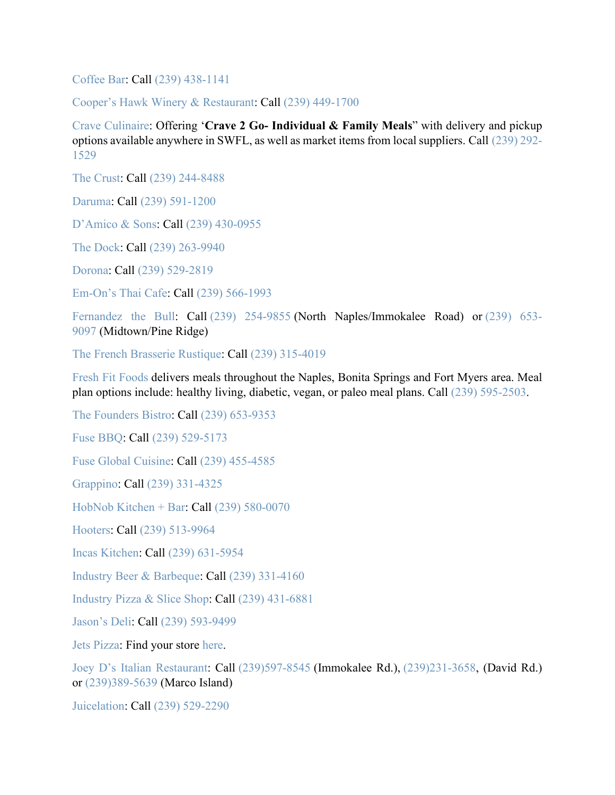[Coffee Bar:](https://naplescoffeebar.com/) Call [\(239\) 438-1141](tel:2394381141)

[Cooper's Hawk Winery & Restaurant:](https://chwinery.com/) Call [\(239\) 449-1700](https://www.google.com/search?q=coopers+hawk+naples&rlz=1C1GGGE_enUS570US571&oq=coopers+hawk+naples&aqs=chrome..69i57.4766j0j7&sourceid=chrome&ie=UTF-8)

[Crave Culinaire:](https://www.craveculinaire.com/crave2go/) Offering '**Crave 2 Go- Individual & Family Meals**" with delivery and pickup options available anywhere in SWFL, as well as market items from local suppliers. Call [\(239\) 292-](https://www.google.com/search?q=crave2go&oq=crave2go&aqs=chrome.0.69i59j69i60.1343j0j4&sourceid=chrome&ie=UTF-8) [1529](https://www.google.com/search?q=crave2go&oq=crave2go&aqs=chrome.0.69i59j69i60.1343j0j4&sourceid=chrome&ie=UTF-8)

[The Crust:](https://thecrustpizza.net/) Call [\(239\) 244-8488](https://www.google.com/search?rlz=1C1GGGE_enUS570US571&sxsrf=ALeKk01w-XkFMWYQptTeFfNhItzHTtkapQ:1584716480634&q=the+crust+naples&npsic=0&rflfq=1&rlha=0&rllag=26249044,-81801809,358&tbm=lcl&ved=2ahUKEwjV9Zb3qKnoAhVrma0KHSArB0YQtgN6BAgLEAQ&tbs=lrf:!1m4!1u3!2m2!3m1!1e1!1m4!1u2!2m2!2m1!1e1!1m4!1u16!2m2!16m1!1e1!1m4!1u16!2m2!16m1!1e2!1m4!1u22!2m2!21m1!1e1!1m5!1u15!2m2!15m1!1shas_1takeout!4e2!1m5!1u15!2m2!15m1!1shas_1wheelchair_1accessible_1entrance!4e2!1m5!1u15!2m2!15m1!1spopular_1with_1tourists!4e2!1m5!1u15!2m2!15m1!1sserves_1beer!4e2!1m5!1u15!2m2!15m1!1sserves_1dinner!4e2!1m5!1u15!2m2!15m1!1sserves_1lunch!4e2!1m5!1u15!2m2!15m1!1sserves_1vegetarian!4e2!1m5!1u15!2m2!15m1!1sserves_1wine!4e2!1m5!1u15!2m2!15m1!1swelcomes_1children!4e2!1m5!1u15!2m2!15m1!1shas_1childrens_1menu!4e2!1m5!1u15!2m2!15m1!1shas_1seating_1outdoors!4e2!2m1!1e2!2m1!1e16!2m1!1e3!3sIAE,lf:1,lf_ui:9&rldoc=1)

[Daruma:](https://darumarestaurant.com/) Call [\(239\) 591-1200](https://www.google.com/search?rlz=1C1GGGE_enUS570US571&sxsrf=ALeKk03xqQE_MkqdrRhMqVP9NjQlMvaURw%3A1585080461926&ei=jWh6XqyiOMmvggfinqboCQ&q=daruma+naples&oq=daruma+naples&gs_l=psy-ab.3..0l2j0i22i30l8.47204.48088..48163...0.1..0.124.661.5j2......0....1..gws-wiz.......0i71j35i39j0i67j0i20i263j0i22i10i30.4FLBPJ7VeZg&ved=0ahUKEwjsnP7u9LPoAhXJl-AKHWKPCZ0Q4dUDCAs&uact=5)

[D'Amico & Sons:](https://naples.damicoandsons.com/) Call [\(239\) 430-0955](https://www.google.com/search?q=damico+and+sons&rlz=1C1GGGE_enUS570US571&oq=damico&aqs=chrome.0.69i59j69i57j69i60.1375j0j4&sourceid=chrome&ie=UTF-8)

[The Dock:](https://www.dockcraytoncove.com/) Call [\(239\) 263-9940](https://www.google.com/search?q=the+dock+restaurant&rlz=1C1GGGE_enUS570US571&oq=the+dock+restaurant&aqs=chrome..69i57.4172j0j4&sourceid=chrome&ie=UTF-8)

[Dorona:](https://doronanaples.com/) Call [\(239\) 529-2819](https://www.google.com/search?q=dorona&oq=dorona&aqs=chrome..69i57j0l7.641j0j9&sourceid=chrome&ie=UTF-8)

[Em-On's Thai Cafe:](http://emonsthaicafe.com/) Call [\(239\) 566-1993](https://www.google.com/search?q=emon+thai+cafe&rlz=1C1GGGE_enUS570US571&oq=emon+thai+cafe&aqs=chrome..69i57.2612j0j7&sourceid=chrome&ie=UTF-8)

[Fernandez the Bull:](https://fernandezthebull.com/) Call [\(239\) 254-9855](https://www.google.com/search?rlz=1C1GGGE_enUS570US571&sxsrf=ALeKk01_xD_4rBvVDuhO7HIEwHFwklXPpw:1585234979601&q=fernandez+the+bull&npsic=0&rflfq=1&rlha=0&rllag=26242862,-81759487,3541&tbm=lcl&ved=2ahUKEwiZs-C-tLjoAhVKKa0KHWcRARoQtgN6BAgHEAQ&tbs=lrf:!1m4!1u3!2m2!3m1!1e1!1m4!1u16!2m2!16m1!1e1!1m4!1u16!2m2!16m1!1e2!1m5!1u15!2m2!15m1!1shas_1takeout!4e2!1m5!1u15!2m2!15m1!1shas_1wheelchair_1accessible_1entrance!4e2!2m1!1e16!2m1!1e3!3sIAE,lf:1,lf_ui:4&rldoc=1) (North Naples/Immokalee Road) or [\(239\) 653-](https://www.google.com/search?sa=X&rlz=1C1GGGE_enUS570US571&biw=1600&bih=764&sxsrf=ALeKk01Ca9OFsez9a0mZHvjosdBrtXPGDg:1585235180064&q=fernandez+the+bull&npsic=0&rflfq=1&rlha=0&rllag=26242862,-81759487,3541&tbm=lcl&ved=2ahUKEwjT7auetbjoAhVQCKwKHSvOC6kQtgN6BAgHEAQ&tbs=lrf:!1m4!1u3!2m2!3m1!1e1!1m4!1u16!2m2!16m1!1e1!1m4!1u16!2m2!16m1!1e2!1m5!1u15!2m2!15m1!1shas_1takeout!4e2!1m5!1u15!2m2!15m1!1shas_1wheelchair_1accessible_1entrance!4e2!2m1!1e16!2m1!1e3!3sIAE,lf:1,lf_ui:4&rldoc=1) [9097](https://www.google.com/search?sa=X&rlz=1C1GGGE_enUS570US571&biw=1600&bih=764&sxsrf=ALeKk01Ca9OFsez9a0mZHvjosdBrtXPGDg:1585235180064&q=fernandez+the+bull&npsic=0&rflfq=1&rlha=0&rllag=26242862,-81759487,3541&tbm=lcl&ved=2ahUKEwjT7auetbjoAhVQCKwKHSvOC6kQtgN6BAgHEAQ&tbs=lrf:!1m4!1u3!2m2!3m1!1e1!1m4!1u16!2m2!16m1!1e1!1m4!1u16!2m2!16m1!1e2!1m5!1u15!2m2!15m1!1shas_1takeout!4e2!1m5!1u15!2m2!15m1!1shas_1wheelchair_1accessible_1entrance!4e2!2m1!1e16!2m1!1e3!3sIAE,lf:1,lf_ui:4&rldoc=1) (Midtown/Pine Ridge)

[The French Brasserie Rustique:](https://thefrenchnaples.com/) Call [\(239\) 315-4019](https://www.google.com/search?q=the+french+brassiere&rlz=1C1GGGE_enUS570US571&oq=the+french&aqs=chrome.0.69i59l2j69i57j69i60l2.1375j0j9&sourceid=chrome&ie=UTF-8)

[Fresh Fit Foods](http://freshfitnaples.com/) delivers meals throughout the Naples, Bonita Springs and Fort Myers area. Meal plan options include: healthy living, diabetic, vegan, or paleo meal plans. Call [\(239\) 595-2503.](https://www.google.com/search?q=fresh+fit+foods&rlz=1C1GGGE_enUS570US571&oq=fresh+&aqs=chrome.0.69i59j69i57j69i59j69i60l2j69i61j69i60.1023j0j7&sourceid=chrome&ie=UTF-8)

[The Founders](https://www.thefounders.market/) Bistro: Call [\(239\) 653-9353](https://www.google.com/search?q=the+founders+bistro&rlz=1C1GGGE_enUS570US571&oq=the+founders+bistro&aqs=chrome..69i57.2604j0j9&sourceid=chrome&ie=UTF-8)

[Fuse BBQ:](http://fusebbq.com/) Call [\(239\) 529-5173](https://www.google.com/search?q=fuse+bbq&rlz=1C1GGGE_enUS570US571&oq=fuse+bbq&aqs=chrome..69i57.1315j0j7&sourceid=chrome&ie=UTF-8)

[Fuse Global Cuisine:](http://fuseglobalcuisine.com/) Call [\(239\) 455-4585](https://www.google.com/search?q=fuse+global+cuisine&rlz=1C1GGGE_enUS570US571&oq=fuse+global+cuisine&aqs=chrome..69i57.3745j0j4&sourceid=chrome&ie=UTF-8)

[Grappino:](https://grappinonaples.com/) Call [\(239\) 331-4325](https://www.google.com/search?q=grappino&oq=grappino&aqs=chrome..69i57j0l7.4723j0j9&sourceid=chrome&ie=UTF-8)

[HobNob Kitchen + Bar:](http://hobnobnaples.com/) Call [\(239\) 580-0070](https://www.google.com/search?q=hobnob+naples&oq=hobnob+naples&aqs=chrome..69i57j0l5.3921j0j9&sourceid=chrome&ie=UTF-8)

[Hooters:](https://www.hooters.com/) Call [\(239\) 513-9964](https://www.google.com/search?rlz=1C1GGGE_enUS570US571&sxsrf=ALeKk017ZVNqnJI2MHn6RXZ8hPpd7rQeCg%3A1585318811304&ei=mwt-XsGYEuezggeg7J3gDw&q=hooters+naples&oq=hooters+naples&gs_l=psy-ab.3..0l6j0i22i30l4.49764.50427..50515...0.2..0.97.510.6......0....1..gws-wiz.......0i71j35i39j0i67._uvr2hgLR5A&ved=0ahUKEwiB0unk7LroAhXnmeAKHSB2B_wQ4dUDCAs&uact=5)

[Incas Kitchen:](https://www.incaskitchennaples.com/) Call [\(239\) 631-5954](https://www.google.com/search?q=incas+kitchen&rlz=1C1GGGE_enUS570US571&oq=incas+kitchen&aqs=chrome..69i57.1521j0j9&sourceid=chrome&ie=UTF-8)

[Industry Beer & Barbeque:](http://www.slatitudes.com/) Call [\(239\) 331-4160](https://www.google.com/search?q=industry+beer&rlz=1C1GGGE_enUS570US571&oq=industry+beer+&aqs=chrome..69i57.4628j0j4&sourceid=chrome&ie=UTF-8)

[Industry Pizza & Slice Shop:](https://www.industrypizza.com/) Call [\(239\) 431-6881](https://www.google.com/search?q=industry+pizza&rlz=1C1GGGE_enUS570US571&oq=industry+pizza&aqs=chrome..69i57.1783j0j4&sourceid=chrome&ie=UTF-8)

[Jason's Deli:](https://www.jasonsdeli.com/restaurants/naples-deli) Call [\(239\) 593-9499](https://www.google.com/search?rlz=1C1GGGE_enUS570US571&tbm=lcl&sxsrf=ALeKk01H3qGgpvhuTjOuBD84FrwRTaJefQ%3A1585063518267&ei=XiZ6XuLpD5CJggeXg7KIBA&q=jason+deli+naples&oq=jason+deli+naples&gs_l=psy-ab.3..0l2j0i22i30k1l8.189869.190398.0.190458.6.5.0.0.0.0.203.566.0j2j1.3.0....0...1c.1.64.psy-ab..3.3.564....0.X4IG6mMBF80)

[Jets Pizza:](https://www.jetspizza.com/announcements/announcement/covid19) Find your store [here.](https://www.jetspizza.com/stores/zip)

[Joey D's Italian Restaurant:](https://www.joeydsnaples.com/) Call [\(239\)597-8545](https://www.google.com/search?client=safari&rls=en&q=joey%20d%27s%20italian&ie=UTF-8&oe=UTF-8&sxsrf=ALeKk008Mm7SKkpyVdyWxChKKsoO8XtFTA:1586978116668&npsic=0&rflfq=1&rlha=0&rllag=26204237,-81769499,7370&tbm=lcl&rldimm=4751161184808536924&lqi=ChBqb2V5IGQncyBpdGFsaWFuIgOIAQFI37_53OWAgIAIWjAKEGpvZXkgZCdzIGl0YWxpYW4QABABEAIYABgBGAIiEGpvZXkgZCdzIGl0YWxpYW4&ved=2ahUKEwi-2qOXkuvoAhXCg-AKHUBnAx4QvS4wAXoECAsQFw&rldoc=1&tbs=lrf:!1m4!1u3!2m2!3m1!1e1!1m5!1u15!2m2!15m1!1shas_1wheelchair_1accessible_1entrance!4e2!2m1!1e3!3sIAE,lf:1,lf_ui:4&rlst=f) (Immokalee Rd.), [\(239\)231-3658,](https://www.google.com/search?client=safari&rls=en&q=joey%20d%27s%20italian&ie=UTF-8&oe=UTF-8&sxsrf=ALeKk008Mm7SKkpyVdyWxChKKsoO8XtFTA:1586978116668&npsic=0&rflfq=1&rlha=0&rllag=26204237,-81769499,7370&tbm=lcl&rldimm=4751161184808536924&lqi=ChBqb2V5IGQncyBpdGFsaWFuIgOIAQFI37_53OWAgIAIWjAKEGpvZXkgZCdzIGl0YWxpYW4QABABEAIYABgBGAIiEGpvZXkgZCdzIGl0YWxpYW4&ved=2ahUKEwi-2qOXkuvoAhXCg-AKHUBnAx4QvS4wAXoECAsQFw&rldoc=1&tbs=lrf:!1m4!1u3!2m2!3m1!1e1!1m5!1u15!2m2!15m1!1shas_1wheelchair_1accessible_1entrance!4e2!2m1!1e3!3sIAE,lf:1,lf_ui:4&rlst=f) (David Rd.) or [\(239\)389-5639](https://www.google.com/search?client=safari&rls=en&q=joey%20d%27s%20italian&ie=UTF-8&oe=UTF-8&sxsrf=ALeKk008Mm7SKkpyVdyWxChKKsoO8XtFTA:1586978116668&npsic=0&rflfq=1&rlha=0&rllag=26204237,-81769499,7370&tbm=lcl&rldimm=4751161184808536924&lqi=ChBqb2V5IGQncyBpdGFsaWFuIgOIAQFI37_53OWAgIAIWjAKEGpvZXkgZCdzIGl0YWxpYW4QABABEAIYABgBGAIiEGpvZXkgZCdzIGl0YWxpYW4&ved=2ahUKEwi-2qOXkuvoAhXCg-AKHUBnAx4QvS4wAXoECAsQFw&rldoc=1&tbs=lrf:!1m4!1u3!2m2!3m1!1e1!1m5!1u15!2m2!15m1!1shas_1wheelchair_1accessible_1entrance!4e2!2m1!1e3!3sIAE,lf:1,lf_ui:4&rlst=f) (Marco Island)

[Juicelation:](http://www.juicelation.com/) Call [\(239\) 529-2290](https://www.google.com/search?q=juicelation&rlz=1C1GGGE_enUS570US571&oq=juicelation&aqs=chrome..69i57.1830j0j7&sourceid=chrome&ie=UTF-8)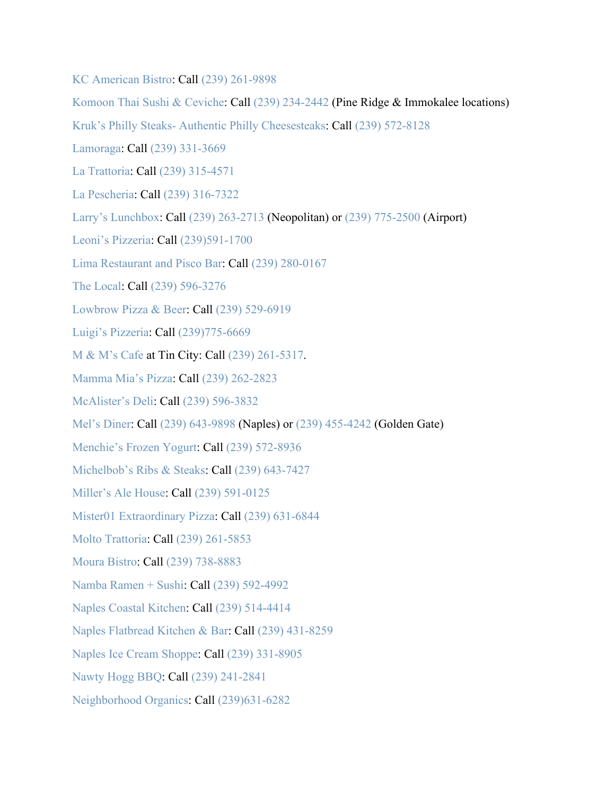[KC American Bistro:](https://www.kcamericanbistro.com/) Call [\(239\) 261-9898](https://www.google.com/search?q=kilwins&rlz=1C1GGGE_enUS570US571&oq=kilwins&aqs=chrome..69i57j69i60j69i61l2.2079j0j4&sourceid=chrome&ie=UTF-8&sxsrf=ALeKk00fQpZ1NG54czfxxSHtQgS7pT5oVg:1584647233247&npsic=0&rflfq=1&rlha=0&rllag=26314163,-81872885,20868&tbm=lcl&rldimm=2654851905060288876&lqi=CgdraWx3aW5zSJrxjuTlgICACFoWCgdraWx3aW5zEAAYACIHa2lsd2lucw&ved=2ahUKEwjV4rn7pqfoAhVnZN8KHYvJDC0QvS4wAHoECAcQHA&rldoc=1&tbs=lrf:!1m4!1u3!2m2!3m1!1e1!1m4!1u16!2m2!16m1!1e1!1m4!1u16!2m2!16m1!1e2!1m5!1u15!2m2!15m1!1shas_1wheelchair_1accessible_1entrance!4e2!2m1!1e16!2m1!1e3!3sIAE,lf:1,lf_ui:3&rlst=f)

[Komoon Thai Sushi & Ceviche:](http://www.komoonthai.com/) Call [\(239\) 234-2442](https://www.google.com/search?rlz=1C1GGGE_enUS570US571&sxsrf=ALeKk02KxBKKS9Msxqx0BzspPBW8K8kplA%3A1585076687028&ei=z1l6XqmTAYvv_QbNtIygBQ&q=komoon+naples&oq=komoon+naples&gs_l=psy-ab.3..0l6j0i22i30l4.99649.100177..100229...0.2..0.182.698.0j5......0....1..gws-wiz.......0i71.76ytaNaFLJk&ved=0ahUKEwjptvzm5rPoAhWLd98KHU0aA1QQ4dUDCAs&uact=5) (Pine Ridge & Immokalee locations) Kruk's Philly Steaks- [Authentic Philly Cheesesteaks:](https://www.kruks.com/) Call [\(239\) 572-8128](https://www.google.com/search?q=Kruk%E2%80%99s+Philly+Steaks-+Authentic+Philly+Cheesesteaks&rlz=1C1GGGE_enUS570US571&oq=Kruk%E2%80%99s+Philly+Steaks-+Authentic+Philly+Cheesesteaks&aqs=chrome..69i57.403j0j7&sourceid=chrome&ie=UTF-8) [Lamoraga:](https://www.lamoragarestaurant.com/) Call [\(239\) 331-3669](https://www.google.com/search?q=lamorage&rlz=1C1GGGE_enUS570US571&oq=lamorage&aqs=chrome..69i57.4656j0j4&sourceid=chrome&ie=UTF-8) [La Trattoria:](https://www.latrattorianaples.com/) Call [\(239\) 315-4571](https://www.google.com/search?q=la+trattoria+naples&oq=la+tratt&aqs=chrome.1.0l7j69i57.2791j0j9&sourceid=chrome&ie=UTF-8) [La Pescheria:](https://www.lapescherianaples.com/) Call [\(239\) 316-7322](https://www.google.com/search?q=La+Pescheria&rlz=1C1GGGE_enUS570US571&oq=La+Pescheria&aqs=chrome..69i57j69i64.298j0j9&sourceid=chrome&ie=UTF-8) [Larry's Lunchbox:](https://www.larryslunchbox.com/) Call [\(239\) 263-2713](https://www.google.com/search?sxsrf=ALeKk01LhPyJ1hqtazRuUZ4Gro6IzuRaFA%3A1584996966177&ei=ZiJ5Xu-vCumg_Qb_16SgBg&q=larry%27s+lunchbox+neapolitan&oq=larrys+lunchbox+neo&gs_l=psy-ab.3.0.0i22i10i30.27959.31468..32693...5.2..0.185.880.4j4......0....1..gws-wiz.......0i71j0j0i22i30j38j33i160j0i13.KgSQh_UwHHM) (Neopolitan) or [\(239\) 775-2500](https://www.google.com/search?sxsrf=ALeKk03nDL9AvKGQouArmW7X8NpyccECxw%3A1584996958758&ei=XiJ5XrDqLcuyggfNzLX4DA&q=larrys+lunchbox+airport&oq=larrys+lunchbox+airport&gs_l=psy-ab.3..38.5363.6319..6476...0.2..0.100.704.7j1......0....1..gws-wiz.......0i71j0j0i20i263j0i22i30.2eqCS2WQQDs&ved=0ahUKEwiwkcnlvbHoAhVLmeAKHU1mDc8Q4dUDCAs&uact=5) (Airport) [Leoni's Pizzeria:](http://www.leonispizza.com/) Call [\(239\)591-1700](https://www.google.com/search?client=safari&rls=en&q=leoni%27s%20pizzeria&ie=UTF-8&oe=UTF-8&sxsrf=ALeKk02ZOuiPOHVDHzCh2Rldui82_Ehthw:1586986347701&npsic=0&rflfq=1&rlha=0&rllag=26359765,-81814692,11360&tbm=lcl&rldimm=5745109524474844234&lqi=ChBsZW9uaSdzIHBpenplcmlhIgOIAQFI0eXfnKCugIAIWiwKEGxlb25pJ3MgcGl6emVyaWEQABABGAAYASIQbGVvbmkncyBwaXp6ZXJpYQ&ved=2ahUKEwjfipLssOvoAhVqiOAKHUluCVUQvS4wA3oECAsQKw&rldoc=1&tbs=lrf:!1m4!1u3!2m2!3m1!1e1!2m1!1e3!3sIAE,lf:1,lf_ui:4&rlst=f) [Lima Restaurant and Pisco Bar:](http://www.lima-restaurant.com/) Call [\(239\) 280-0167](https://www.google.com/search?q=lima+restaurant+and+pisco+bar&rlz=1C1GGGE_enUS570US571&oq=lima+restaurant+and+pisco+bar&aqs=chrome..69i57j69i60.5548j0j7&sourceid=chrome&ie=UTF-8) [The Local:](https://thelocalnaples.com/) Call [\(239\) 596-3276](https://www.google.com/search?q=the+local&oq=the+local&aqs=chrome..69i57j69i59j0l3j69i60l3.1102j0j9&sourceid=chrome&ie=UTF-8) [Lowbrow Pizza & Beer:](https://www.lowbrowpizzaandbeer.com/) Call [\(239\) 529-6919](https://www.google.com/search?q=lowbrow+pizza&rlz=1C1GGGE_enUS570US571&oq=lowbrow+pizza&aqs=chrome..69i57.2433j0j4&sourceid=chrome&ie=UTF-8) [Luigi's Pizzeria:](http://www.luigisofnaples.net/) Call [\(239\)775-6669](https://www.google.com/search?client=safari&rls=en&sxsrf=ALeKk018-QUCYKubLlu6ppxdaRTD_5WgIg%3A1586981021685&ei=nWiXXquWKc-c_QaGtp3oCA&q=luigi%27s+pizzeria+naples&oq=luigi%27s+pizzeria+naples&gs_lcp=CgZwc3ktYWIQAzICCAAyAggAMgYIABAWEB4yBggAEBYQHjIGCAAQFhAeMgYIABAWEB4yBggAEBYQHjIGCAAQFhAeMgUIABDNAjIFCAAQzQI6BAgAEEc6BwgAEBQQhwI6BQgAEIsDOgsIABAWEAoQHhCLAzoJCAAQFhAeEIsDSg0IFxIJMTEtODBnMTE2SgoIGBIGMTEtNWc0UPyBBFj_jARg_I8EaABwAngAgAF1iAHeBZIBAzIuNZgBAKABAaoBB2d3cy13aXq4AQI&sclient=psy-ab&ved=0ahUKEwjr2L-AnevoAhVPTt8KHQZbB40Q4dUDCAs&uact=5) [M & M's Cafe](https://cafemnm.com/) at Tin City: Call [\(239\) 261-5317.](https://www.google.com/search?q=m%26m+cafe+at+tin+city&rlz=1C1GGGE_enUS570US571&oq=m%26m+cafe+at+tin+city&aqs=chrome..69i57.6900j0j7&sourceid=chrome&ie=UTF-8) [Mamma Mia's Pizza:](https://www.facebook.com/Mama-Mias-Pizza-332800508065/) Call [\(239\) 262-2823](https://www.google.com/search?q=mamma+mias+pizza&rlz=1C1GGGE_enUS570US571&oq=mamma+mias+pizza&aqs=chrome..69i57.2980j0j7&sourceid=chrome&ie=UTF-8) [McAlister's Deli:](https://www.mcalistersdeli.com/) Call [\(239\) 596-3832](https://www.google.com/search?q=mcalister&rlz=1C1GGGE_enUS570US571&oq=mca&aqs=chrome.0.69i59j69i57j69i60l3.912j0j4&sourceid=chrome&ie=UTF-8) [Mel's Diner:](https://melsdiners.com/) Call [\(239\) 643-9898](https://www.google.com/search?q=mel%27s+diner+naples&oq=mel%27s+diner+naples&aqs=chrome..69i57j69i60.4893j0j4&sourceid=chrome&ie=UTF-8) (Naples) or [\(239\) 455-4242](https://www.google.com/search?sxsrf=ALeKk02wa8a4Ocj98oFjTCVYjSdcyzgQYA%3A1584990178786&ei=4gd5Xui0L8KMtgWhnZH4Ag&q=mel%27s+diner+golden+gate&oq=mel%27s+diner+golden+gate&gs_l=psy-ab.3..0l3j0i22i30l2j38.17469.19031..19145...0.2..1.255.1432.3j6j2......0....1..gws-wiz.......0i71.qxk2mp9DQu4&ved=0ahUKEwjordDEpLHoAhVChq0KHaFOBC8Q4dUDCAs&uact=5) (Golden Gate) [Menchie's Frozen Yogurt:](https://www.menchies.com/locations/frozen-yogurt-naples-blvd-fl/cakes) Call [\(239\) 572-8936](https://www.google.com/search?q=menchie%27s+naples&oq=menchie%27s+naples&aqs=chrome..69i57j0l5.2135j0j9&sourceid=chrome&ie=UTF-8) [Michelbob's Ribs & Steaks:](http://www.michelbobs.com/) Call [\(239\) 643-7427](https://www.google.com/search?q=michelbob%27s+naples&oq=michel&aqs=chrome.1.69i57j69i59l2j0j69i60l2.3272j0j4&sourceid=chrome&ie=UTF-8) [Miller's Ale House:](https://millersalehouse.com/locations/naples/) Call [\(239\) 591-0125](https://www.google.com/search?q=millers+ale+house+naples&rlz=1C1GGGE_enUS570US571&oq=millers+ale+house+naples&aqs=chrome..69i57j69i60.4206j0j7&sourceid=chrome&ie=UTF-8) [Mister01 Extraordinary Pizza:](http://www.mistero1.com/) Call [\(239\) 631-6844](https://www.google.com/search?q=mister01+extraordinary&rlz=1C1GGGE_enUS570US571&oq=mister01+extraordinary&aqs=chrome..69i57.10586j0j4&sourceid=chrome&ie=UTF-8) [Molto Trattoria:](https://www.moltonaples.com/) Call [\(239\) 261-5853](https://www.google.com/search?q=Molto+Trattoria&rlz=1C1GGGE_enUS570US571&oq=Molto+Trattoria&aqs=chrome..69i57.254j0j4&sourceid=chrome&ie=UTF-8) [Moura Bistro:](http://www.mourabistro.com/) Call [\(239\) 738-8883](https://www.google.com/search?q=moura+bistro&rlz=1C1GGGE_enUS570US571&oq=moura+bistro&aqs=chrome..69i57.2454j0j4&sourceid=chrome&ie=UTF-8) [Namba Ramen + Sushi:](http://www.nambanaples.com/) Call [\(239\) 592-4992](https://www.google.com/search?q=namba&rlz=1C1GGGE_enUS570US571&oq=namba&aqs=chrome..69i57.847j0j4&sourceid=chrome&ie=UTF-8) [Naples Coastal Kitchen:](http://naplescoastalkitchen.com/) Call [\(239\) 514-4414](https://www.google.com/search?q=naples+coastal+kitchen&rlz=1C1GGGE_enUS570US571&oq=naples+coastal+kitchen&aqs=chrome..69i57.4950j0j9&sourceid=chrome&ie=UTF-8) [Naples Flatbread Kitchen & Bar:](https://www.naplesflatbread.com/) Call [\(239\) 431-8259](https://www.google.com/search?q=naples+flatbread&rlz=1C1GGGE_enUS570US571&oq=naples+flatbread+++&aqs=chrome..69i57j69i59l2j69i60.4204j0j9&sourceid=chrome&ie=UTF-8) [Naples Ice Cream Shoppe:](https://www.facebook.com/naplesics) Call [\(239\) 331-8905](https://www.google.com/search?q=naples+ice+cream+shoppe&oq=naples+ice+c&aqs=chrome.1.0l2j69i57j0l4j69i60.3194j0j4&sourceid=chrome&ie=UTF-8) [Nawty Hogg BBQ:](https://nawtyhoggbbq.com/) Call [\(239\) 241-2841](https://www.google.com/search?ei=ZJl2XvrrGNKzggel7rzoDA&q=nawty+hogg&oq=nawty+hogg&gs_l=psy-ab.3..0l5j0i30l5.4865.4865..5192...0.2..0.100.100.0j1......0....1..gws-wiz.......0i71..26%3A84.uLaZ8bNaVjw&ved=0ahUKEwj6rdHw0qzoAhXSmeAKHSU3D80Q4dUDCAs&uact=5)

[Neighborhood Organics:](https://www.facebook.com/neighborhoodorganics/?ref=br_tf) Call [\(239\)631-6282](https://www.google.com/search?client=safari&rls=en&q=neighborhood+organics&ie=UTF-8&oe=UTF-8)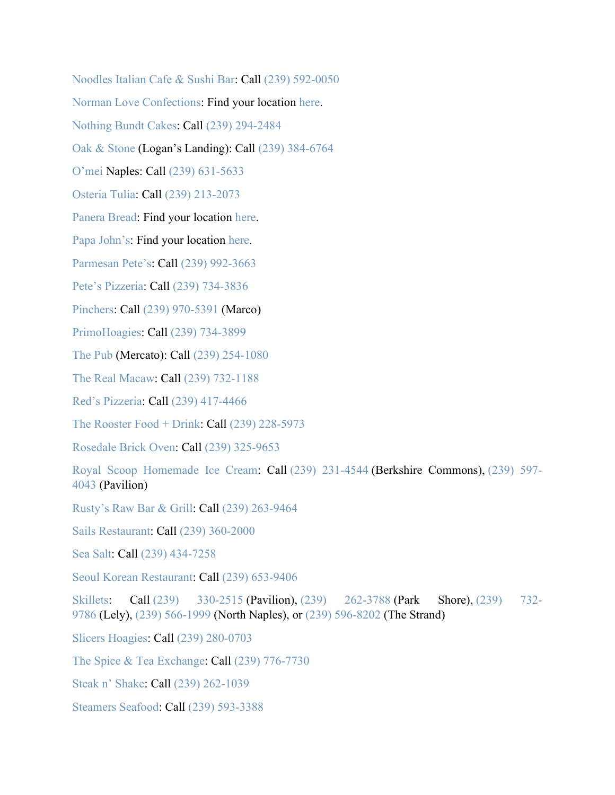[Noodles Italian Cafe & Sushi Bar:](https://noodlescafe.com/) Call [\(239\) 592-0050](https://www.google.com/search?q=noodles+italian+cafe&rlz=1C1GGGE_enUS570US571&oq=noodles+italian+cafe&aqs=chrome..69i57.3209j0j4&sourceid=chrome&ie=UTF-8) [Norman Love Confections:](https://www.normanloveconfections.com/) Find your location [here.](https://www.normanloveconfections.com/locations/) [Nothing Bundt Cakes:](https://www.nothingbundtcakes.com/bakery/fl/naples) Call [\(239\) 294-2484](https://www.google.com/search?q=nothing+bundt+cakes+naples&rlz=1C1GGGE_enUS570US571&oq=nothing+bundt+cakes+naples&aqs=chrome..69i57j69i60.3579j0j4&sourceid=chrome&ie=UTF-8) [Oak & Stone](https://www.oakandstone.com/) (Logan's Landing): Call [\(239\) 384-6764](https://www.google.com/search?q=oak+and+stone&rlz=1C1GGGE_enUS570US571&oq=oak+and+stone&aqs=chrome..69i57.1611j0j4&sourceid=chrome&ie=UTF-8) [O'mei](http://www.omeinaples.com/) Naples: Call [\(239\) 631-5633](https://www.google.com/search?q=omei&rlz=1C1GGGE_enUS570US571&oq=omei+&aqs=chrome..69i57j69i60.872j0j4&sourceid=chrome&ie=UTF-8) [Osteria Tulia:](https://osteriatulia.com/) Call [\(239\) 213-2073](https://www.google.com/search?q=osteria+tulia&rlz=1C1GGGE_enUS570US571&oq=osteria+tulia&aqs=chrome..69i57.2192j0j4&sourceid=chrome&ie=UTF-8) [Panera Bread:](https://www.panerabread.com/en-us/home.html) Find your location [here.](https://delivery.panerabread.com/cafeLocations/) [Papa John's:](https://www.papajohns.com/) Find your location [here.](https://locations.papajohns.com/) [Parmesan Pete's:](https://www.parmesanpetes.com/) Call [\(239\) 992-3663](https://www.google.com/search?q=parmesan+pete%27s&oq=parmesan+pete%27s&aqs=chrome..69i57j0l4j69i60.6717j0j9&sourceid=chrome&ie=UTF-8) [Pete's Pizzeria:](https://petespizzerianaples.com/) Call [\(239\) 734-3836](https://www.google.com/search?ei=VJp2Xp_eH4Sf_QaO_qHgDw&q=pete%27s+pizzeria&oq=pete%27s+pizzeria&gs_l=psy-ab.3..0l5j0i10l2j0j0i10j0.26792.29265..29382...0.6..0.107.1342.12j3......0....1..gws-wiz.......0i71j0i67j0i273j0i10i273..26%3A80.Yre6Bgqk5jI&ved=0ahUKEwif2JDj06zoAhWET98KHQ5_CPwQ4dUDCAs&uact=5) [Pinchers:](https://www.pinchersusa.com/) Call [\(239\) 970-5391](https://www.google.com/search?q=pinchers+marco+island&oq=pinchers+marco&aqs=chrome.0.0j69i57j0l6.4477j0j4&sourceid=chrome&ie=UTF-8) (Marco) [PrimoHoagies:](https://www.primohoagies.com/) Call [\(239\) 734-3899](https://www.google.com/search?q=primo+hoagies&rlz=1C1GGGE_enUS570US571&oq=primo&aqs=chrome.0.69i59j69i57j69i60l4.1958j0j4&sourceid=chrome&ie=UTF-8) [The Pub](https://experiencethepub.com/naples/) (Mercato): Call [\(239\) 254-1080](https://www.google.com/search?rlz=1C1GGGE_enUS570US571&sxsrf=ALeKk031egtrboLjDwQe433rvecaOS8Utw%3A1584805278190&ei=njV2XvybC_Kk_QaA-pHgDg&q=the+pub+mercato&oq=the+pub+mercato&gs_l=psy-ab.3..0l6j0i22i30l4.7560.8674..8872...0.2..0.120.855.2j6......0....1..gws-wiz.......0i71j0i22i10i30.1dC0iTRRuAI&ved=0ahUKEwj84pPd86voAhVyUt8KHQB9BOwQ4dUDCAs&uact=5) [The Real Macaw:](https://therealmacawnaples.com/index.html) Call [\(239\) 732-1188](https://www.google.com/search?q=the+real+macaw&rlz=1C1GGGE_enUS570US571&oq=the+real+macaw&aqs=chrome..69i57j69i60l2.2168j0j4&sourceid=chrome&ie=UTF-8) [Red's Pizzeria:](https://www.redspizzerianaples.com/) Call [\(239\) 417-4466](https://www.google.com/search?q=red%27s+pizzeria&oq=reds+pizzer&aqs=chrome.1.69i57j0l7.4432j0j9&sourceid=chrome&ie=UTF-8) [The Rooster Food + Drink:](https://www.theroosternaples.com/home) Call [\(239\) 228-5973](https://www.google.com/search?q=the+rooster+restaurant&rlz=1C1GGGE_enUS570US571&oq=the+rooster+restaurant&aqs=chrome..69i57.3636j0j4&sourceid=chrome&ie=UTF-8) [Rosedale Brick Oven:](https://rosedalepizza.com/) Call [\(239\) 325-9653](https://www.google.com/search?q=rosedale&rlz=1C1GGGE_enUS570US571&oq=rosedale&aqs=chrome..69i57.1147j0j7&sourceid=chrome&ie=UTF-8) [Royal Scoop Homemade Ice Cream:](https://www.royalscoop.com/) Call [\(239\) 231-4544](https://www.google.com/search?rlz=1C1GGGE_enUS570US571&sxsrf=ALeKk00kYRSziI7eLsWOf5aECMZDDeDuRg:1585078336702&ei=6V96XqbyNaS8ggeF9InwCg&q=royal%20scoop%20homemade%20ice%20cream&oq=royal+scoop+&gs_l=psy-ab.3.0.35i39l3j0l7.83583.83583..85227...0.2..0.82.82.1......0....1..gws-wiz.......0i71._fblK7Lm1mg&npsic=0&rflfq=1&rlha=0&rllag=26240178,-81770231,10528&tbm=lcl&rldimm=6223957440636554245&lqi=Ch5yb3lhbCBzY29vcCBob21lbWFkZSBpY2UgY3JlYW0iA4gBAUil88rX5YCAgAhaUgoecm95YWwgc2Nvb3AgaG9tZW1hZGUgaWNlIGNyZWFtEAAQARACEAMQBBgAGAEYAxgEIh5yb3lhbCBzY29vcCBob21lbWFkZSBpY2UgY3JlYW0&ved=2ahUKEwjo28z57LPoAhXOVN8KHX2FANgQvS4wAXoECA0QHA&rldoc=1&tbs=lrf:!1m4!1u3!2m2!3m1!1e1!1m4!1u16!2m2!16m1!1e1!1m4!1u16!2m2!16m1!1e2!1m5!1u15!2m2!15m1!1shas_1wheelchair_1accessible_1entrance!4e2!2m1!1e16!2m1!1e3!3sIAE,lf:1,lf_ui:4&rlst=f) (Berkshire Commons), [\(239\) 597-](https://www.google.com/search?rlz=1C1GGGE_enUS570US571&sxsrf=ALeKk00kYRSziI7eLsWOf5aECMZDDeDuRg:1585078336702&ei=6V96XqbyNaS8ggeF9InwCg&q=royal%20scoop%20homemade%20ice%20cream&oq=royal+scoop+&gs_l=psy-ab.3.0.35i39l3j0l7.83583.83583..85227...0.2..0.82.82.1......0....1..gws-wiz.......0i71._fblK7Lm1mg&npsic=0&rflfq=1&rlha=0&rllag=26240178,-81770231,10528&tbm=lcl&rldimm=6223957440636554245&lqi=Ch5yb3lhbCBzY29vcCBob21lbWFkZSBpY2UgY3JlYW0iA4gBAUil88rX5YCAgAhaUgoecm95YWwgc2Nvb3AgaG9tZW1hZGUgaWNlIGNyZWFtEAAQARACEAMQBBgAGAEYAxgEIh5yb3lhbCBzY29vcCBob21lbWFkZSBpY2UgY3JlYW0&ved=2ahUKEwjo28z57LPoAhXOVN8KHX2FANgQvS4wAXoECA0QHA&rldoc=1&tbs=lrf:!1m4!1u3!2m2!3m1!1e1!1m4!1u16!2m2!16m1!1e1!1m4!1u16!2m2!16m1!1e2!1m5!1u15!2m2!15m1!1shas_1wheelchair_1accessible_1entrance!4e2!2m1!1e16!2m1!1e3!3sIAE,lf:1,lf_ui:4&rlst=f) [4043](https://www.google.com/search?rlz=1C1GGGE_enUS570US571&sxsrf=ALeKk00kYRSziI7eLsWOf5aECMZDDeDuRg:1585078336702&ei=6V96XqbyNaS8ggeF9InwCg&q=royal%20scoop%20homemade%20ice%20cream&oq=royal+scoop+&gs_l=psy-ab.3.0.35i39l3j0l7.83583.83583..85227...0.2..0.82.82.1......0....1..gws-wiz.......0i71._fblK7Lm1mg&npsic=0&rflfq=1&rlha=0&rllag=26240178,-81770231,10528&tbm=lcl&rldimm=6223957440636554245&lqi=Ch5yb3lhbCBzY29vcCBob21lbWFkZSBpY2UgY3JlYW0iA4gBAUil88rX5YCAgAhaUgoecm95YWwgc2Nvb3AgaG9tZW1hZGUgaWNlIGNyZWFtEAAQARACEAMQBBgAGAEYAxgEIh5yb3lhbCBzY29vcCBob21lbWFkZSBpY2UgY3JlYW0&ved=2ahUKEwjo28z57LPoAhXOVN8KHX2FANgQvS4wAXoECA0QHA&rldoc=1&tbs=lrf:!1m4!1u3!2m2!3m1!1e1!1m4!1u16!2m2!16m1!1e1!1m4!1u16!2m2!16m1!1e2!1m5!1u15!2m2!15m1!1shas_1wheelchair_1accessible_1entrance!4e2!2m1!1e16!2m1!1e3!3sIAE,lf:1,lf_ui:4&rlst=f) (Pavilion) [Rusty's Raw Bar & Grill:](https://www.rustysraw.com/our-locations/rustys-naples/) Call [\(239\) 263-9464](https://www.google.com/search?q=rusty%27s+raw+bar+and+grill+naples&oq=rusty%27s+raw+bar+and+grill+naples&aqs=chrome..69i57j0.5275j0j4&sourceid=chrome&ie=UTF-8) [Sails Restaurant:](https://www.sailsrestaurants.com/) Call [\(239\) 360-2000](https://www.google.com/search?q=sails+restaurant&rlz=1C1GGGE_enUS570US571&oq=sails+restaurant&aqs=chrome..69i57.2339j0j9&sourceid=chrome&ie=UTF-8) [Sea Salt:](https://seasaltnaples.com/) Call [\(239\) 434-7258](https://www.google.com/search?ei=xO2wXunUEqOzggeD9avgDg&q=sea+salt+naples&oq=sea+salt+naples&gs_lcp=CgZwc3ktYWIQAzICCAAyAggAMgIIADICCAAyAggAMgIIADICCAAyAggAMgIIADICCAA6BAgAEEc6BAgAEENQrx1YmiNg_CNoAHACeACAAVuIAa4EkgEBN5gBAKABAaoBB2d3cy13aXo&sclient=psy-ab&ved=0ahUKEwjpxqLA85vpAhWjmeAKHYP6CuwQ4dUDCAw&uact=5) [Seoul Korean Restaurant:](https://napleskoreanrestaurant.com/) Call [\(239\) 653-9406](https://www.google.com/search?q=seoul+korean+restaurant&oq=seoiul+kore&aqs=chrome.1.69i57j0l5.2835j0j4&sourceid=chrome&ie=UTF-8) [Skillets:](https://www.skilletsrestaurants.com/) Call [\(239\) 330-2515](https://www.skilletsrestaurants.com/pavilion) (Pavilion), [\(239\) 262-3788](https://www.skilletsrestaurants.com/parkshore) (Park Shore), [\(239\) 732-](https://www.skilletsrestaurants.com/lely) [9786](https://www.skilletsrestaurants.com/lely) (Lely), [\(239\) 566-1999](https://www.skilletsrestaurants.com/north-naples) (North Naples), or [\(239\) 596-8202](https://www.skilletsrestaurants.com/the-strand) (The Strand)

[Slicers Hoagies:](https://www.slicershoagies.com/) Call [\(239\) 280-0703](https://www.google.com/search?q=slicers+hoagie&rlz=1C1GGGE_enUS570US571&oq=slicers+hoagie&aqs=chrome.0.69i59l2j69i60l2j69i61.2662j0j9&sourceid=chrome&ie=UTF-8)

The Spice & [Tea Exchange:](https://www.spiceandtea.com/naples) Call [\(239\) 776-7730](https://www.google.com/search?q=the+spice+and+tea+exchange&rlz=1C1GGGE_enUS570US571&oq=the+spice+and+tea+exchange&aqs=chrome..69i57.4042j0j4&sourceid=chrome&ie=UTF-8)

[Steak n' Shake:](https://www.steaknshake.com/) Call [\(239\) 262-1039](https://www.google.com/search?rlz=1C1GGGE_enUS570US571&tbm=lcl&sxsrf=ALeKk02qrc8Fk3EzXzW3iWTvMWbBbE8--g%3A1586177191280&ei=pySLXp3kEPK9ggeX9aeoAQ&q=steak+and+shake+naples&oq=steak+and+shake+naples&gs_l=psy-ab.3..0l2j0i22i30k1l3j38j0i333k1l2.102318.105128.0.105896.18.17.1.0.0.0.227.2033.3j12j1.16.0....0...1c.1.64.psy-ab..2.16.1947...35i39k1j0i22i10i30k1j0i67k1j0i20i263k1.0.kG9qX8nQttI)

[Steamers Seafood:](https://www.facebook.com/SteamersofNaples) Call [\(239\) 593-3388](https://www.google.com/search?q=steamers+seafood&rlz=1C1GGGE_enUS570US571&oq=steamers+seafood&aqs=chrome..69i57.2522j0j7&sourceid=chrome&ie=UTF-8)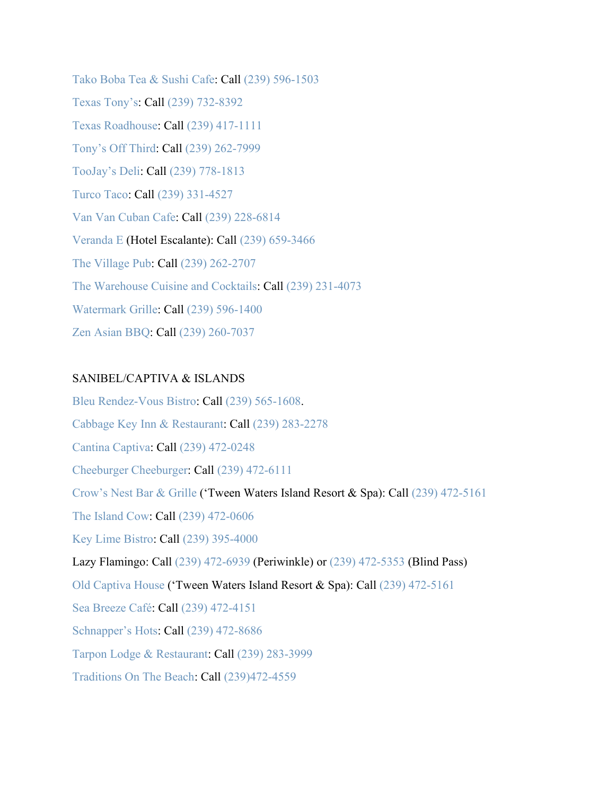[Tako Boba Tea & Sushi Cafe:](http://www.takobobateasushifl.com/) Call [\(239\) 596-1503](https://www.google.com/search?q=tako+boba&rlz=1C1GGGE_enUS570US571&oq=tako+boba&aqs=chrome..69i57.1619j0j7&sourceid=chrome&ie=UTF-8) [Texas Tony's:](https://www.texastonys.com/) Call [\(239\) 732-8392](https://www.google.com/search?sxsrf=ALeKk02i1-KiRrZguocbZZBqQM1cHkpz3A%3A1584993922998&ei=ghZ5Xv3DPLKs_Qb6s5eoCQ&q=texas+tonys+naples&oq=texas+tonys+naples&gs_l=psy-ab.3..0l3j0i22i30l7.50114.53882..53916...0.4..0.129.1003.9j2......0....1..gws-wiz.......0i71j35i39j0i67j0i273j0i131j0i20i263j0i131i67j0i10j0i22i10i30.rCHG4RtIJi0&ved=0ahUKEwj9jIG-srHoAhUyVt8KHfrZBZUQ4dUDCAs&uact=5) [Texas Roadhouse:](https://www.texasroadhouse.com/locations/florida/naples) Call [\(239\) 417-1111](https://www.google.com/search?q=texas+roadhouse+naples&rlz=1C1GGGE_enUS570US571&oq=texas+roadhouse+naples&aqs=chrome..69i57.3970j0j7&sourceid=chrome&ie=UTF-8) [Tony's Off Third:](https://www.tonysoffthird.com/) Call [\(239\) 262-7999](https://www.google.com/search?q=tonys+off+third&rlz=1C1GGGE_enUS570US571&oq=tonys+off+third&aqs=chrome..69i57.2168j0j4&sourceid=chrome&ie=UTF-8) [TooJay's Deli:](https://www.toojays.com/location/naples-mercato-plaza/) Call [\(239\) 778-1813](https://www.google.com/search?q=too+jays+deli&rlz=1C1GGGE_enUS570US571&oq=too+jays+deli&aqs=chrome..69i57.2883j0j9&sourceid=chrome&ie=UTF-8) [Turco Taco:](https://www.theturcotaco.com/) Call [\(239\) 331-4527](https://www.google.com/search?q=turco+taco&oq=turco+taco&aqs=chrome.0.69i59j0l4j69i60l2j69i61.1562j0j4&sourceid=chrome&ie=UTF-8) [Van Van Cuban Cafe:](https://vanvancubancafe.com/) Call [\(239\) 228-6814](https://www.google.com/search?q=van+van+cuban&rlz=1C1GGGE_enUS570US571&oq=van+van+cuban&aqs=chrome..69i57.2285j0j4&sourceid=chrome&ie=UTF-8) [Veranda E](https://hotelescalante.com/veranda-e/about/) (Hotel Escalante): Call [\(239\) 659-3466](https://www.google.com/search?q=veranda+e&rlz=1C1GGGE_enUS570US571&oq=veranda+e&aqs=chrome..69i57j69i61l3.3719j0j4&sourceid=chrome&ie=UTF-8) [The Village Pub:](https://www.naplespubs.com/village_pub/) Call [\(239\) 262-2707](https://www.google.com/search?q=village+pub+naples&oq=village+pub+naples&aqs=chrome..69i57j0l4j69i60l3.2789j0j4&sourceid=chrome&ie=UTF-8) [The Warehouse Cuisine and Cocktails:](https://thewarehousenaples.com/newhome/) Call [\(239\) 231-4073](https://www.google.com/search?q=the+warehouse+restaurant&rlz=1C1GGGE_enUS570US571&oq=the+warehouse+restaurant&aqs=chrome..69i57.4255j0j4&sourceid=chrome&ie=UTF-8) [Watermark Grille:](https://watermarkgrille.com/) Call [\(239\) 596-1400](https://www.google.com/search?q=watermark+grille&oq=watermark+grille&aqs=chrome..69i57j0l7.2159j0j9&sourceid=chrome&ie=UTF-8) [Zen Asian BBQ:](https://www.eatatzen.com/) Call [\(239\) 260-7037](https://www.google.com/search?q=zen+asian+bbq&oq=zen+asian+bbq&aqs=chrome.0.69i59j0l4j69i60l3.1394j0j4&sourceid=chrome&ie=UTF-8)

## SANIBEL/CAPTIVA & ISLANDS

[Bleu Rendez-Vous Bistro:](http://bleurendezvous.com/) Call [\(239\) 565-1608.](https://www.google.com/search?q=Bleu+Rendez-Vous+Bistro&rlz=1C1GGGE_enUS570US571&oq=Bleu+Rendez-Vous+Bistro&aqs=chrome..69i57.792j0j7&sourceid=chrome&ie=UTF-8) [Cabbage Key Inn & Restaurant:](https://cabbagekey.com/dining/) Call [\(239\) 283-2278](https://www.google.com/search?rlz=1C1GGGE_enUS570US571&sxsrf=ALeKk02OW4RriUDgv8A8DY3__K_RU2OHwA%3A1584556643439&ei=Y2pyXvyfGuHB_QaXo6igBA&q=cabbage+key+inn+and+re&oq=cabbage+key+inn+and+re&gs_l=psy-ab.3..0i20i263j0j0i22i30l3j0i333.4163.5577..6301...0.2..0.117.1043.7j4......0....1..gws-wiz.......0i71j0i67.ArIfi8Gp5Vc&ved=0ahUKEwi83e6-1aToAhXhYN8KHZcRCkQQ4dUDCAs&uact=5) [Cantina Captiva:](https://captivaislandinn.com/captiva-island-restaurant/cantina-captiva/) Call [\(239\) 472-0248](https://www.google.com/search?q=cantina+captiva&oq=cantina+captiva&aqs=chrome..69i57j0l7.3147j0j9&sourceid=chrome&ie=UTF-8) [Cheeburger Cheeburger:](https://www.cheeburger.com/) Call [\(239\) 472-6111](https://www.google.com/search?q=sanibel%20cheeseburger&rlz=1C1GGGE_enUS570US571&oq=sanibel+cheeseburger&aqs=chrome..69i57.7776j0j4&sourceid=chrome&ie=UTF-8&sxsrf=ALeKk02qWJ5YhAoQvYiCugV24lZ6I6oyjw:1585345641200&npsic=0&rflfq=1&rlha=0&rllag=26438747,-82067455,1401&tbm=lcl&rldimm=16456126898748383821&lqi=ChRzYW5pYmVsIGNoZWVzZWJ1cmdlckjChc_95YCAgAhaKgoMY2hlZXNlYnVyZ2VyEAEYABgBIhRzYW5pYmVsIGNoZWVzZWJ1cmdlcg&phdesc=vdlCfR8XV94&ved=2ahUKEwj0sKje0LvoAhUlVt8KHZqXAgEQvS4wAHoECAsQPA&rldoc=1&tbs=lrf:!1m5!1u5!3m2!5m1!1sgcid_3hamburger_1restaurant!4e2!1m4!1u3!2m2!3m1!1e1!1m4!1u2!2m2!2m1!1e1!1m4!1u1!2m2!1m1!1e1!1m4!1u1!2m2!1m1!1e2!1m4!1u16!2m2!16m1!1e1!1m4!1u16!2m2!16m1!1e2!1m4!1u15!2m2!15m1!1swelcomes_1children!1m4!1u15!2m2!15m1!1saccepts_1reservations!1m4!1u15!2m2!15m1!1sserves_1beer!1m4!1u15!2m2!15m1!1sserves_1wine!1m4!1u15!2m2!15m1!1sfeels_1romantic!1m4!1u22!2m2!21m1!1e1!1m5!1u15!2m2!15m1!1shas_1wheelchair_1accessible_1entrance!4e2!1m5!1u15!2m2!15m1!1spopular_1with_1tourists!4e2!1m5!1u15!2m2!15m1!1shas_1takeout!4e2!1m5!1u15!2m2!15m1!1shas_1childrens_1menu!4e2!1m5!1u15!2m2!15m1!1shas_1seating_1outdoors!4e2!1m5!1u15!2m2!15m1!1sserves_1dinner!4e2!1m5!1u15!2m2!15m1!1sserves_1vegetarian!4e2!1m5!1u15!2m2!15m1!1sserves_1lunch!4e2!2m1!1e2!2m1!1e5!2m1!1e1!2m1!1e16!2m1!1e3!3sCgIIASABKgJVUw,lf:1,lf_ui:9&rlst=f) [Crow's Nest Bar & Grille](https://tween-waters.com/dining/) ('Tween Waters Island Resort & Spa): Call [\(239\) 472-5161](https://www.google.com/search?q=Tween+Waters+Island+Resort+%26+Spa&rlz=1C1GGGE_enUS570US571&oq=Tween+Waters+Island+Resort+%26+Spa&aqs=chrome..69i57.1213j0j7&sourceid=chrome&ie=UTF-8) [The Island Cow:](https://sanibelislandcow.com/) Call [\(239\) 472-0606](https://www.google.com/search?q=the+island+cow&rlz=1C1GGGE_enUS570US571&oq=the+island+cow&aqs=chrome..69i57.1666j0j7&sourceid=chrome&ie=UTF-8) [Key Lime Bistro:](https://captivaislandinn.com/captiva-island-restaurant/keylime-bistro/) Call [\(239\) 395-4000](https://www.google.com/search?q=keylime+bistro&rlz=1C1GGGE_enUS570US571&oq=keylime+bistro&aqs=chrome..69i57.2702j0j7&sourceid=chrome&ie=UTF-8) Lazy Flamingo: Call [\(239\) 472-6939](https://www.google.com/search?ei=Jcd_XoCTAum1ggeS96_oCQ&q=lazy+flamingo+periwinkle&oq=lazy+flamingo+periwi&gs_lcp=CgZwc3ktYWIQAxgAMgIIADIGCAAQFhAeMgIIJjoECAAQR1CpI1iLK2DaM2gAcAJ4AIABeogBvQSSAQM0LjKYAQCgAQGqAQdnd3Mtd2l6&sclient=psy-ab) (Periwinkle) or [\(239\) 472-5353](https://www.google.com/search?ei=LMd_XqrBIaes_Qbf0IK4BQ&q=lazy+flamingo+blind+pass&oq=lazy+flamingo+blind+pass&gs_lcp=CgZwc3ktYWIQAzICCAA6BAgAEEc6BggAEBYQHlDggwFYn5ABYJWRAWgAcAN4AYABjQGIAfkHkgEDNC41mAEAoAEBqgEHZ3dzLXdpeg&sclient=psy-ab&ved=0ahUKEwiqh57nk77oAhUnVt8KHV-oAFcQ4dUDCAs&uact=5) (Blind Pass) [Old Captiva House](https://tween-waters.com/dining/) ('Tween Waters Island Resort & Spa): Call [\(239\) 472-5161](https://www.google.com/search?q=Tween+Waters+Island+Resort+%26+Spa&rlz=1C1GGGE_enUS570US571&oq=Tween+Waters+Island+Resort+%26+Spa&aqs=chrome..69i57.1213j0j7&sourceid=chrome&ie=UTF-8) [Sea Breeze Café:](https://sundialresort.com/restaurant/sea-breeze-cafe-2/) Call [\(239\) 472-4151](https://www.google.com/search?q=sea+breeze+cafe&rlz=1C1GGGE_enUS570US571&oq=sea+breeze+cafe&aqs=chrome..69i57j69i64.1926j0j7&sourceid=chrome&ie=UTF-8) [Schnapper's Hots:](http://schnappershots.com/) Call [\(239\) 472-8686](https://www.google.com/search?q=schnappers+hots&rlz=1C1GGGE_enUS570US571&oq=schnappers+hots+&aqs=chrome..69i57j69i60j69i61l2.9171j0j4&sourceid=chrome&ie=UTF-8) [Tarpon Lodge & Restaurant:](https://tarponlodge.com/restaurant/) Call [\(239\) 283-3999](https://www.google.com/search?q=tarpon+lodge+restaurant&rlz=1C1GGGE_enUS570US571&oq=tarpon+lo&aqs=chrome.0.69i59j69i57j69i60l3.1502j0j4&sourceid=chrome&ie=UTF-8) [Traditions On The Beach:](http://traditionsonthebeach.com/) Call [\(239\)472-4559](https://www.google.com/search?client=safari&rls=en&q=traditions+on+the+beach&ie=UTF-8&oe=UTF-8)